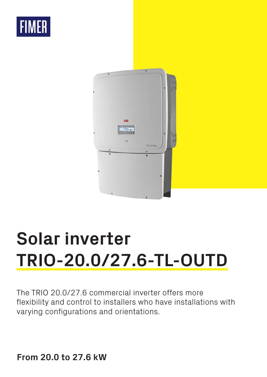



# **Solar inverter TRIO-20.0/27.6-TL-OUTD**

The TRIO 20.0/27.6 commercial inverter offers more flexibility and control to installers who have installations with varying configurations and orientations.

**From 20.0 to 27.6 kW**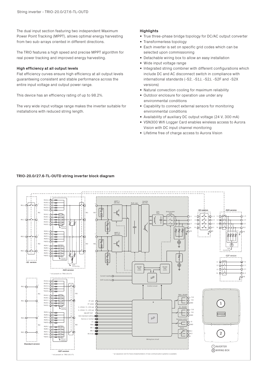The dual input section featuring two independent Maximum Power Point Tracking (MPPT), allows optimal energy harvesting from two sub-arrays oriented in different directions.

The TRIO features a high speed and precise MPPT algorithm for real power tracking and improved energy harvesting.

### **High efficiency at all output levels**

Flat efficiency curves ensure high efficiency at all output levels guaranteeing consistent and stable performance across the entire input voltage and output power range.

This device has an efficiency rating of up to 98.2%.

The very wide input voltage range makes the inverter suitable for installations with reduced string length.

### **Highlights**

- True three-phase bridge topology for DC/AC output converter
- Transformerless topology
- Each inverter is set on specific grid codes which can be selected upon commissioning
- Detachable wiring box to allow an easy installation
- Wide input voltage range
- Integrated string combiner with different configurations which include DC and AC disconnect switch in compliance with • international standards (-S2, -S1J, -S2J, -S2F and -S2X versions)
- Natural convection cooling for maximum reliability
- Outdoor enclosure for operation use under any environmental conditions
- Capability to connect external sensors for monitoring environmental conditions
- Availability of auxiliary DC output voltage (24 V, 300 mA)
- VSN300 Wifi Logger Card enables wireless access to Aurora Vision with DC input channel monitoring
- Lifetime free of charge access to Aurora Vision

# **TRIO-20.0/27.6-TL-OUTD string inverter block diagram**

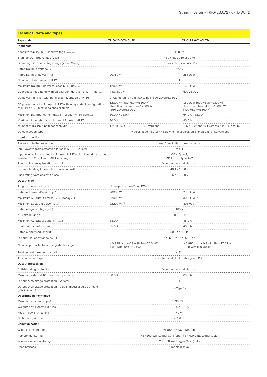| <b>Technical data and types</b>                                                                                         |                                                                                                                 |                                                                                                                 |  |
|-------------------------------------------------------------------------------------------------------------------------|-----------------------------------------------------------------------------------------------------------------|-----------------------------------------------------------------------------------------------------------------|--|
| <b>Type code</b>                                                                                                        | TRIO-20.0-TL-OUTD                                                                                               | TRIO-27.6-TL-OUTD                                                                                               |  |
| Input side                                                                                                              |                                                                                                                 |                                                                                                                 |  |
| Absolute maximum DC input voltage (V <sub>max,abs</sub> )                                                               | 1000V                                                                                                           |                                                                                                                 |  |
| Start-up DC input voltage (V <sub>start</sub> )                                                                         | 430 V (adj. 250500 V)                                                                                           |                                                                                                                 |  |
| Operating DC input voltage range (VdcminVdcmax)                                                                         | 0.7 x V <sub>start</sub> 950 V (min 200 V)                                                                      |                                                                                                                 |  |
| Rated DC input voltage (Vdcr)                                                                                           | 620 V                                                                                                           |                                                                                                                 |  |
| Rated DC input power (Pdcr)                                                                                             | 20750W                                                                                                          | 28600W                                                                                                          |  |
| Number of independent MPPT                                                                                              | .                                                                                                               | 2                                                                                                               |  |
| Maximum DC input power for each MPPT (PMPPTmax)                                                                         | 12000W                                                                                                          | 16000W                                                                                                          |  |
| DC input voltage range with parallel configuration of MPPT at Pacr                                                      | 440800 V                                                                                                        | 500800 V                                                                                                        |  |
| DC power limitation with parallel configuration of MPPT                                                                 | Linear derating from max to null [800 V≤V <sub>MPPT</sub> ≤950 V]                                               |                                                                                                                 |  |
| DC power limitation for each MPPT with independent configuration<br>of MPPT at P <sub>acr</sub> , max unbalance example | 12000 W [480 V≤V <sub>MPPT</sub> ≤800 V]<br>the other channel: Pdcr-12000 W<br>[350 V≤V <sub>MPPT</sub> ≤800 V] | 16000 W [500 V≤V <sub>MPPT</sub> ≤800 V]<br>the other channel: Pdcr-16000 W<br>[400 V≤V <sub>MPPT</sub> ≤800 V] |  |
| Maximum DC input current (Idcmax) / for each MPPT (IMPPTmax)                                                            | 50.0 A / 25.0 A                                                                                                 | 64.0 A / 32.0 A                                                                                                 |  |
| Maximum input short circuit current for each MPPT                                                                       | 30.0 A                                                                                                          | 40.0 A                                                                                                          |  |
| Number of DC input pairs for each MPPT                                                                                  | 1 (4 in -S2X, -S2F, -S1J, -S2J versions)                                                                        | 1 (5 in -S2X and -S2F versions, 4 in -S1J and -S2J)                                                             |  |
| DC connection type                                                                                                      |                                                                                                                 | PV quick fit connector <sup>1</sup> / Screw terminal block on Standard and -S2 versions                         |  |
| Input protection                                                                                                        |                                                                                                                 |                                                                                                                 |  |
| Reverse polarity protection                                                                                             |                                                                                                                 | Yes, from limited current source                                                                                |  |
| Input over voltage protection for each MPPT - varistor                                                                  |                                                                                                                 | Yes, 4                                                                                                          |  |
| Input over voltage protection for each MPPT - plug In modular surge<br>arrester (-S2X, -S1J and -S2J versions)          | .<br>-S2X: Type 2;<br>$-S1J. S1J: Type 1+2$                                                                     |                                                                                                                 |  |
| Photovoltaic array isolation control                                                                                    | According to local standard                                                                                     |                                                                                                                 |  |
| DC switch rating for each MPPT (version with DC switch)                                                                 | 40 A / 1000 V                                                                                                   |                                                                                                                 |  |
| Fuse rating (versions with fuses)                                                                                       | 15 A / 1000 V                                                                                                   |                                                                                                                 |  |
| Output side                                                                                                             |                                                                                                                 |                                                                                                                 |  |
| AC grid connection type                                                                                                 | Three-phase 3W+PE or 4W+PE                                                                                      |                                                                                                                 |  |
| Rated AC power ( $P_{\text{acr}}$ $\text{Cos}\varphi=1$ )                                                               | 20000 W                                                                                                         | 27600W                                                                                                          |  |
| Maximum AC output power (Растах ШСОSФ=1)                                                                                | 22000 W <sup>2)</sup>                                                                                           | 30000 W 3)                                                                                                      |  |
| Maximum apparent power (S <sub>max</sub> )                                                                              | 22200 VA 4)                                                                                                     | 30670 VA 4)                                                                                                     |  |
| Rated AC grid voltage (Vac.r)                                                                                           | 400 V                                                                                                           |                                                                                                                 |  |
| AC voltage range                                                                                                        | 320480 V 5)                                                                                                     |                                                                                                                 |  |
| Maximum AC output current (lac.max)                                                                                     | 33.0 A<br>.                                                                                                     | 45.0 A<br>.                                                                                                     |  |
| Contributory fault current                                                                                              | 35.0 A                                                                                                          | 46.0 A                                                                                                          |  |
| Rated output frequency (fr)                                                                                             | 50 Hz / 60 Hz                                                                                                   |                                                                                                                 |  |
| Output frequency range (fminfmax)                                                                                       | 4753 Hz / 5763 Hz 6)                                                                                            |                                                                                                                 |  |
| Nominal power factor and adjustable range                                                                               | $> 0.995$ , adj. $\pm 0.9$ with Pacr = 20.0 kW,<br>$\pm$ 0.8 with max 22.2 kVA                                  | > 0.995, adj. $\pm$ 0.9 with Pacr = 27.6 kW,<br>$\pm$ 0.8 with max 30 kVA                                       |  |
| Total current harmonic distortion                                                                                       | < 3%                                                                                                            |                                                                                                                 |  |
| AC connection type                                                                                                      | Screw terminal block, cable gland PG36                                                                          |                                                                                                                 |  |
| Output protection                                                                                                       |                                                                                                                 |                                                                                                                 |  |
| Anti-islanding protection                                                                                               |                                                                                                                 | According to local standard                                                                                     |  |
| Maximum external AC overcurrent protection                                                                              | 50.0 A<br>63.0 A                                                                                                |                                                                                                                 |  |
| Output overvoltage protection - varistor                                                                                | 4                                                                                                               |                                                                                                                 |  |
| Output overvoltage protection - plug in modular surge arrester<br>(-S2X version)                                        | 4 (Type 2)                                                                                                      |                                                                                                                 |  |
| Operating performance                                                                                                   |                                                                                                                 |                                                                                                                 |  |
| Maximum efficiency $(\eta_{max})$                                                                                       | 98.2%                                                                                                           |                                                                                                                 |  |
| Weighted efficiency (EURO/CEC)                                                                                          | 98.0% / 98.0%                                                                                                   |                                                                                                                 |  |
| Feed in power threshold                                                                                                 | 40 W                                                                                                            |                                                                                                                 |  |
| Night consumption<br>.                                                                                                  | < 0.6 W                                                                                                         |                                                                                                                 |  |
| Communication                                                                                                           |                                                                                                                 |                                                                                                                 |  |
| Wired local monitoring                                                                                                  | PVI-USB-RS232_485 (opt.)                                                                                        |                                                                                                                 |  |
| Remote monitoring                                                                                                       | VSN300 Wifi Logger Card (opt.), VSN700 Data Logger (opt.)                                                       |                                                                                                                 |  |
| Wireless local monitoring                                                                                               | VSN300 Wifi Logger Card (opt.)                                                                                  |                                                                                                                 |  |
| User interface                                                                                                          |                                                                                                                 | Graphic display                                                                                                 |  |
|                                                                                                                         |                                                                                                                 |                                                                                                                 |  |